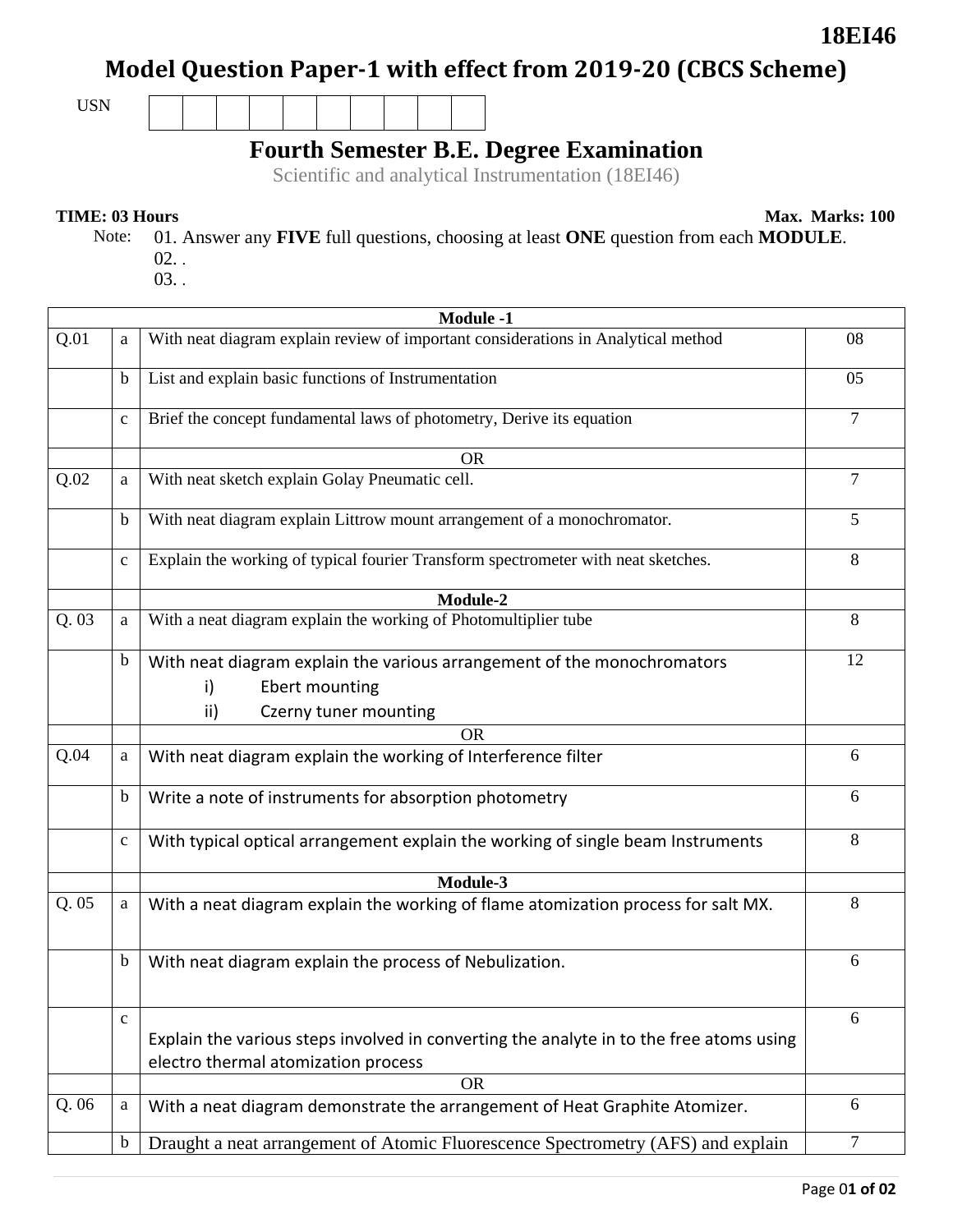# **Model Question Paper-1 with effect from 2019-20 (CBCS Scheme)**

USN

## **Fourth Semester B.E. Degree Examination**

Scientific and analytical Instrumentation (18EI46)

**TIME: 03 Hours** Max. Marks: 100

**18EI46**

- Note: 01. Answer any **FIVE** full questions, choosing at least **ONE** question from each **MODULE**. 02. .
	- 03. .

|      | <b>Module -1</b> |                                                                                                                                 |    |  |  |
|------|------------------|---------------------------------------------------------------------------------------------------------------------------------|----|--|--|
| Q.01 | a                | With neat diagram explain review of important considerations in Analytical method                                               | 08 |  |  |
|      | $\mathbf b$      | List and explain basic functions of Instrumentation                                                                             | 05 |  |  |
|      | $\mathbf{C}$     | Brief the concept fundamental laws of photometry, Derive its equation                                                           | 7  |  |  |
|      |                  | <b>OR</b>                                                                                                                       |    |  |  |
| Q.02 | a                | With neat sketch explain Golay Pneumatic cell.                                                                                  | 7  |  |  |
|      | $\mathbf b$      | With neat diagram explain Littrow mount arrangement of a monochromator.                                                         | 5  |  |  |
|      | $\mathbf{C}$     | Explain the working of typical fourier Transform spectrometer with neat sketches.                                               | 8  |  |  |
|      |                  | Module-2                                                                                                                        |    |  |  |
| Q.03 | a                | With a neat diagram explain the working of Photomultiplier tube                                                                 | 8  |  |  |
|      | $\mathbf b$      | With neat diagram explain the various arrangement of the monochromators<br>Ebert mounting<br>i)<br>ii)<br>Czerny tuner mounting | 12 |  |  |
|      |                  | <b>OR</b>                                                                                                                       |    |  |  |
| Q.04 | a                | With neat diagram explain the working of Interference filter                                                                    | 6  |  |  |
|      |                  |                                                                                                                                 |    |  |  |
|      | $\mathbf b$      | Write a note of instruments for absorption photometry                                                                           | 6  |  |  |
|      | $\mathbf c$      | With typical optical arrangement explain the working of single beam Instruments                                                 | 8  |  |  |
|      |                  | Module-3                                                                                                                        |    |  |  |
| Q.05 | a                | With a neat diagram explain the working of flame atomization process for salt MX.                                               | 8  |  |  |
|      | $\mathbf b$      | With neat diagram explain the process of Nebulization.                                                                          | 6  |  |  |
|      | $\mathbf c$      |                                                                                                                                 | 6  |  |  |
|      |                  | Explain the various steps involved in converting the analyte in to the free atoms using<br>electro thermal atomization process  |    |  |  |
|      |                  | <b>OR</b>                                                                                                                       |    |  |  |
| Q.06 | a                | With a neat diagram demonstrate the arrangement of Heat Graphite Atomizer.                                                      | 6  |  |  |
|      | $\mathbf b$      | Draught a neat arrangement of Atomic Fluorescence Spectrometry (AFS) and explain                                                | 7  |  |  |